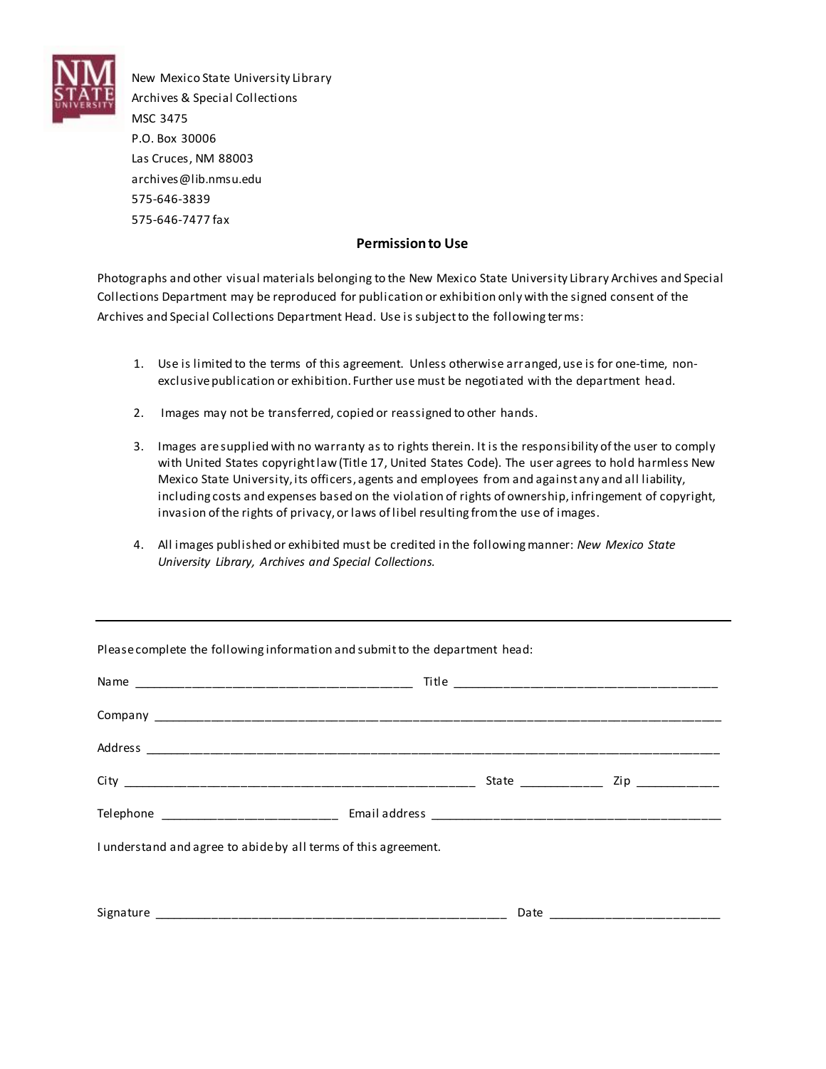

New Mexico State University Library Archives & Special Collections MSC 3475 P.O. Box 30006 Las Cruces, NM 88003 archives@lib.nmsu.edu 575-646-3839 575-646-7477 fax

## **Permission to Use**

Photographs and other visual materials belonging to the New Mexico State University Library Archives and Special Collections Department may be reproduced for publication or exhibition only with the signed consent of the Archives and Special Collections Department Head. Use is subject to the following ter ms:

- 1. Use is limited to the terms of this agreement. Unless otherwise arranged, use is for one-time, nonexclusive publication or exhibition. Further use must be negotiated with the department head.
- 2. Images may not be transferred, copied or reassigned to other hands.
- 3. Images are supplied with no warranty as to rights therein. It is the responsibility of the user to comply with United States copyright law (Title 17, United States Code). The user agrees to hold harmless New Mexico State University, its officers, agents and employees from and against any and all liability, including costs and expenses based on the violation of rights of ownership, infringement of copyright, invasion of the rights of privacy, or laws of libel resulting from the use of images.
- 4. All images published or exhibited must be credited in the following manner: *New Mexico State University Library, Archives and Special Collections.*

| Please complete the following information and submit to the department head: |  |                                      |  |  |
|------------------------------------------------------------------------------|--|--------------------------------------|--|--|
|                                                                              |  |                                      |  |  |
|                                                                              |  |                                      |  |  |
|                                                                              |  |                                      |  |  |
|                                                                              |  | State ____________ Zip _____________ |  |  |
|                                                                              |  |                                      |  |  |
| I understand and agree to abide by all terms of this agreement.              |  |                                      |  |  |
|                                                                              |  |                                      |  |  |
|                                                                              |  |                                      |  |  |